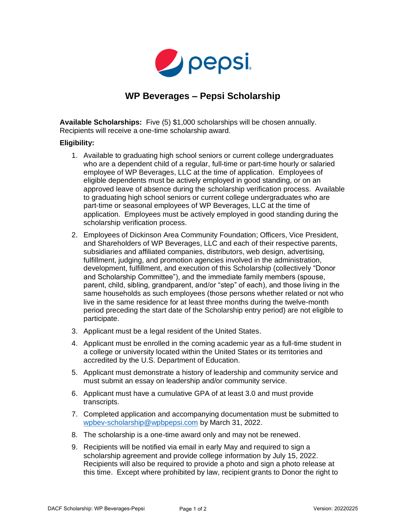

## **WP Beverages – Pepsi Scholarship**

**Available Scholarships:** Five (5) \$1,000 scholarships will be chosen annually. Recipients will receive a one-time scholarship award.

## **Eligibility:**

- 1. Available to graduating high school seniors or current college undergraduates who are a dependent child of a regular, full-time or part-time hourly or salaried employee of WP Beverages, LLC at the time of application. Employees of eligible dependents must be actively employed in good standing, or on an approved leave of absence during the scholarship verification process. Available to graduating high school seniors or current college undergraduates who are part-time or seasonal employees of WP Beverages, LLC at the time of application. Employees must be actively employed in good standing during the scholarship verification process.
- 2. Employees of Dickinson Area Community Foundation; Officers, Vice President, and Shareholders of WP Beverages, LLC and each of their respective parents, subsidiaries and affiliated companies, distributors, web design, advertising, fulfillment, judging, and promotion agencies involved in the administration, development, fulfillment, and execution of this Scholarship (collectively "Donor and Scholarship Committee"), and the immediate family members (spouse, parent, child, sibling, grandparent, and/or "step" of each), and those living in the same households as such employees (those persons whether related or not who live in the same residence for at least three months during the twelve-month period preceding the start date of the Scholarship entry period) are not eligible to participate.
- 3. Applicant must be a legal resident of the United States.
- 4. Applicant must be enrolled in the coming academic year as a full-time student in a college or university located within the United States or its territories and accredited by the U.S. Department of Education.
- 5. Applicant must demonstrate a history of leadership and community service and must submit an essay on leadership and/or community service.
- 6. Applicant must have a cumulative GPA of at least 3.0 and must provide transcripts.
- 7. Completed application and accompanying documentation must be submitted to [wpbev-scholarship@wpbpepsi.com](mailto:wpbev-scholarship@wpbpepsi.com) by March 31, 2022.
- 8. The scholarship is a one-time award only and may not be renewed.
- 9. Recipients will be notified via email in early May and required to sign a scholarship agreement and provide college information by July 15, 2022. Recipients will also be required to provide a photo and sign a photo release at this time. Except where prohibited by law, recipient grants to Donor the right to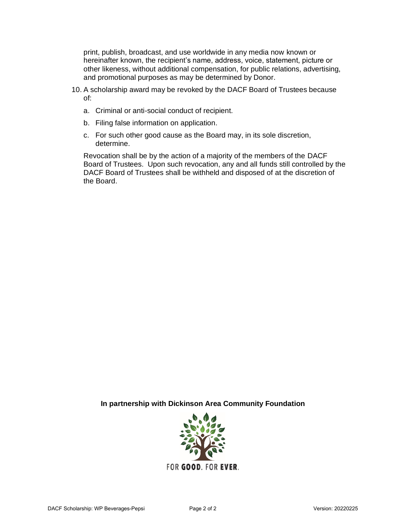print, publish, broadcast, and use worldwide in any media now known or hereinafter known, the recipient's name, address, voice, statement, picture or other likeness, without additional compensation, for public relations, advertising, and promotional purposes as may be determined by Donor.

- 10. A scholarship award may be revoked by the DACF Board of Trustees because of:
	- a. Criminal or anti-social conduct of recipient.
	- b. Filing false information on application.
	- c. For such other good cause as the Board may, in its sole discretion, determine.

Revocation shall be by the action of a majority of the members of the DACF Board of Trustees. Upon such revocation, any and all funds still controlled by the DACF Board of Trustees shall be withheld and disposed of at the discretion of the Board.

**In partnership with Dickinson Area Community Foundation**

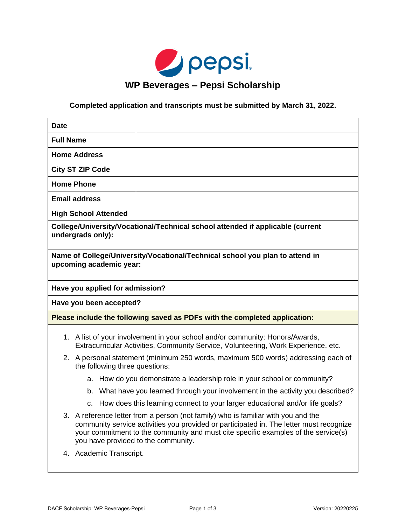

## **Completed application and transcripts must be submitted by March 31, 2022.**

| <b>Date</b>                                                                                                                                                                                                                                                                                               |                                                                                  |  |
|-----------------------------------------------------------------------------------------------------------------------------------------------------------------------------------------------------------------------------------------------------------------------------------------------------------|----------------------------------------------------------------------------------|--|
| <b>Full Name</b>                                                                                                                                                                                                                                                                                          |                                                                                  |  |
| <b>Home Address</b>                                                                                                                                                                                                                                                                                       |                                                                                  |  |
| <b>City ST ZIP Code</b>                                                                                                                                                                                                                                                                                   |                                                                                  |  |
| <b>Home Phone</b>                                                                                                                                                                                                                                                                                         |                                                                                  |  |
| <b>Email address</b>                                                                                                                                                                                                                                                                                      |                                                                                  |  |
| <b>High School Attended</b>                                                                                                                                                                                                                                                                               |                                                                                  |  |
| College/University/Vocational/Technical school attended if applicable (current<br>undergrads only):                                                                                                                                                                                                       |                                                                                  |  |
| Name of College/University/Vocational/Technical school you plan to attend in<br>upcoming academic year:                                                                                                                                                                                                   |                                                                                  |  |
| Have you applied for admission?                                                                                                                                                                                                                                                                           |                                                                                  |  |
| Have you been accepted?                                                                                                                                                                                                                                                                                   |                                                                                  |  |
| Please include the following saved as PDFs with the completed application:                                                                                                                                                                                                                                |                                                                                  |  |
| 1. A list of your involvement in your school and/or community: Honors/Awards,<br>Extracurricular Activities, Community Service, Volunteering, Work Experience, etc.                                                                                                                                       |                                                                                  |  |
| 2. A personal statement (minimum 250 words, maximum 500 words) addressing each of<br>the following three questions:                                                                                                                                                                                       |                                                                                  |  |
|                                                                                                                                                                                                                                                                                                           | a. How do you demonstrate a leadership role in your school or community?         |  |
|                                                                                                                                                                                                                                                                                                           | b. What have you learned through your involvement in the activity you described? |  |
|                                                                                                                                                                                                                                                                                                           | c. How does this learning connect to your larger educational and/or life goals?  |  |
| 3. A reference letter from a person (not family) who is familiar with you and the<br>community service activities you provided or participated in. The letter must recognize<br>your commitment to the community and must cite specific examples of the service(s)<br>you have provided to the community. |                                                                                  |  |

4. Academic Transcript.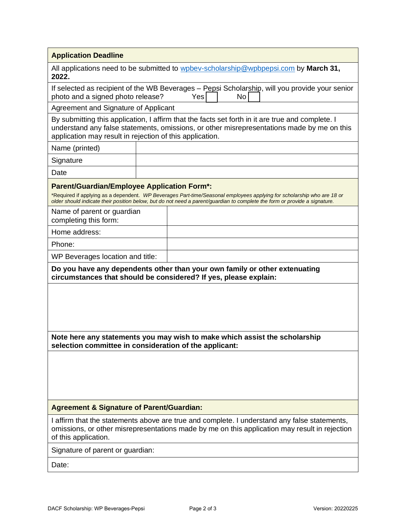| <b>Application Deadline</b>                                                                                                                                                                                                                                |                                                                                      |  |  |
|------------------------------------------------------------------------------------------------------------------------------------------------------------------------------------------------------------------------------------------------------------|--------------------------------------------------------------------------------------|--|--|
| 2022.                                                                                                                                                                                                                                                      | All applications need to be submitted to wpbey-scholarship@wpbpepsi.com by March 31, |  |  |
| If selected as recipient of the WB Beverages - Pepsi Scholarship, will you provide your senior<br>photo and a signed photo release?<br>Yes<br>No                                                                                                           |                                                                                      |  |  |
| Agreement and Signature of Applicant                                                                                                                                                                                                                       |                                                                                      |  |  |
| By submitting this application, I affirm that the facts set forth in it are true and complete. I<br>understand any false statements, omissions, or other misrepresentations made by me on this<br>application may result in rejection of this application. |                                                                                      |  |  |
| Name (printed)                                                                                                                                                                                                                                             |                                                                                      |  |  |
| Signature                                                                                                                                                                                                                                                  |                                                                                      |  |  |
| Date                                                                                                                                                                                                                                                       |                                                                                      |  |  |
| <b>Parent/Guardian/Employee Application Form*:</b>                                                                                                                                                                                                         |                                                                                      |  |  |
| *Required if applying as a dependent. WP Beverages Part-time/Seasonal employees applying for scholarship who are 18 or<br>older should indicate their position below, but do not need a parent/guardian to complete the form or provide a signature.       |                                                                                      |  |  |
| Name of parent or guardian<br>completing this form:                                                                                                                                                                                                        |                                                                                      |  |  |
| Home address:                                                                                                                                                                                                                                              |                                                                                      |  |  |
| Phone:                                                                                                                                                                                                                                                     |                                                                                      |  |  |
| WP Beverages location and title:                                                                                                                                                                                                                           |                                                                                      |  |  |
| Do you have any dependents other than your own family or other extenuating<br>circumstances that should be considered? If yes, please explain:                                                                                                             |                                                                                      |  |  |
|                                                                                                                                                                                                                                                            |                                                                                      |  |  |
|                                                                                                                                                                                                                                                            |                                                                                      |  |  |
|                                                                                                                                                                                                                                                            |                                                                                      |  |  |
|                                                                                                                                                                                                                                                            |                                                                                      |  |  |
| Note here any statements you may wish to make which assist the scholarship<br>selection committee in consideration of the applicant:                                                                                                                       |                                                                                      |  |  |
|                                                                                                                                                                                                                                                            |                                                                                      |  |  |
|                                                                                                                                                                                                                                                            |                                                                                      |  |  |
|                                                                                                                                                                                                                                                            |                                                                                      |  |  |
|                                                                                                                                                                                                                                                            |                                                                                      |  |  |
| <b>Agreement &amp; Signature of Parent/Guardian:</b>                                                                                                                                                                                                       |                                                                                      |  |  |
| I affirm that the statements above are true and complete. I understand any false statements,<br>omissions, or other misrepresentations made by me on this application may result in rejection<br>of this application.                                      |                                                                                      |  |  |
| Signature of parent or guardian:                                                                                                                                                                                                                           |                                                                                      |  |  |
| Date:                                                                                                                                                                                                                                                      |                                                                                      |  |  |